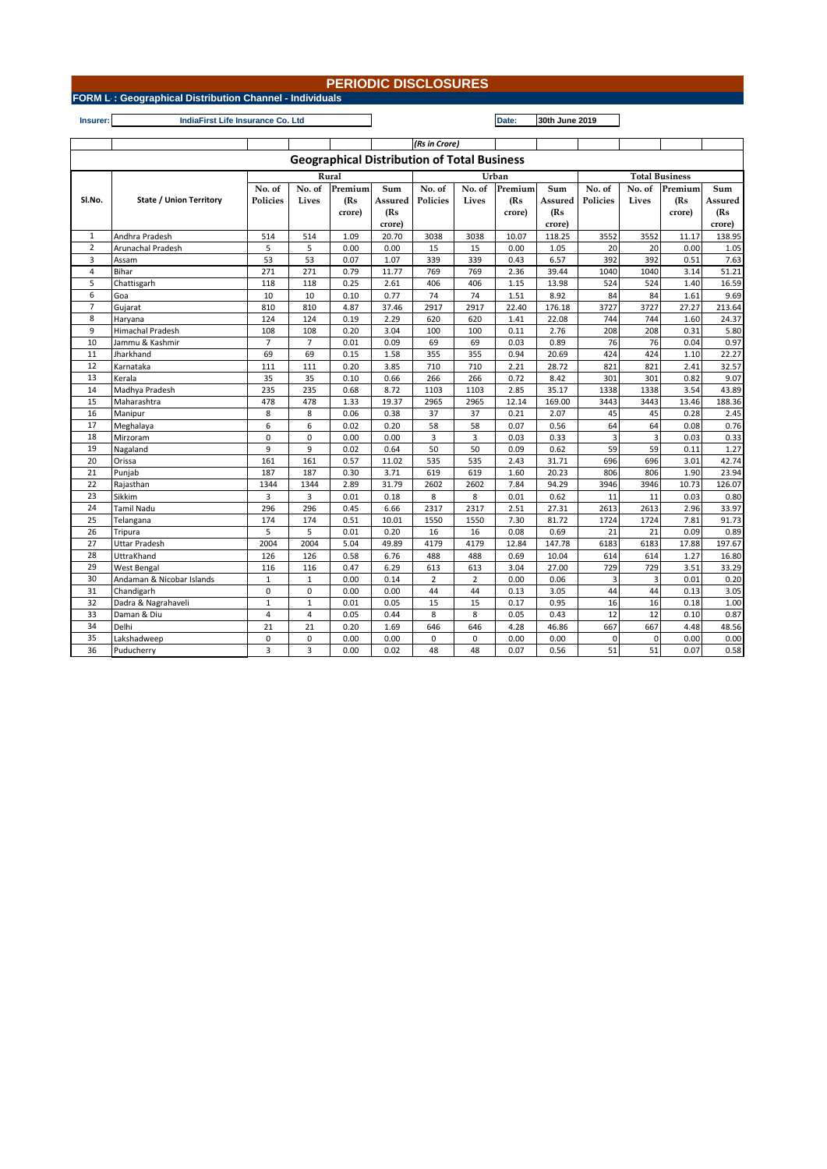## **PERIODIC DISCLOSURES**

**FORM L-25- (i) : Geographical Distribution Channel - Individuals**

**Insurer: Date: 30th June 2019 IndiaFirst Life Insurance Co. Ltd**

|                                                    |                                |                 |                |         |         | (Rs in Crore)   |                |         |         |                       |        |         |         |
|----------------------------------------------------|--------------------------------|-----------------|----------------|---------|---------|-----------------|----------------|---------|---------|-----------------------|--------|---------|---------|
| <b>Geographical Distribution of Total Business</b> |                                |                 |                |         |         |                 |                |         |         |                       |        |         |         |
|                                                    |                                | Rural           |                |         |         | Urban           |                |         |         | <b>Total Business</b> |        |         |         |
|                                                    |                                | No. of          | No. of         | Premium | Sum     | No. of          | No. of         | Premium | Sum     | No. of                | No. of | Premium | Sum     |
| SI.No.                                             | <b>State / Union Territory</b> | <b>Policies</b> | Lives          | (Rs     | Assured | <b>Policies</b> | Lives          | (Rs)    | Assured | Policies              | Lives  | (Rs     | Assured |
|                                                    |                                |                 |                | crore)  | (Rs     |                 |                | crore)  | (Rs     |                       |        | crore)  | (Rs     |
|                                                    |                                |                 |                |         | crore)  |                 |                |         | crore)  |                       |        |         | crore)  |
| $\mathbf{1}$                                       | Andhra Pradesh                 | 514             | 514            | 1.09    | 20.70   | 3038            | 3038           | 10.07   | 118.25  | 3552                  | 3552   | 11.17   | 138.95  |
| $\overline{2}$                                     | Arunachal Pradesh              | 5               | 5              | 0.00    | 0.00    | 15              | 15             | 0.00    | 1.05    | 20                    | 20     | 0.00    | 1.05    |
| 3                                                  | Assam                          | 53              | 53             | 0.07    | 1.07    | 339             | 339            | 0.43    | 6.57    | 392                   | 392    | 0.51    | 7.63    |
| $\overline{4}$                                     | Bihar                          | 271             | 271            | 0.79    | 11.77   | 769             | 769            | 2.36    | 39.44   | 1040                  | 1040   | 3.14    | 51.21   |
| 5                                                  | Chattisgarh                    | 118             | 118            | 0.25    | 2.61    | 406             | 406            | 1.15    | 13.98   | 524                   | 524    | 1.40    | 16.59   |
| 6                                                  | Goa                            | 10              | 10             | 0.10    | 0.77    | 74              | 74             | 1.51    | 8.92    | 84                    | 84     | 1.61    | 9.69    |
| $\overline{7}$                                     | Gujarat                        | 810             | 810            | 4.87    | 37.46   | 2917            | 2917           | 22.40   | 176.18  | 3727                  | 3727   | 27.27   | 213.64  |
| 8                                                  | Haryana                        | 124             | 124            | 0.19    | 2.29    | 620             | 620            | 1.41    | 22.08   | 744                   | 744    | 1.60    | 24.37   |
| 9                                                  | <b>Himachal Pradesh</b>        | 108             | 108            | 0.20    | 3.04    | 100             | 100            | 0.11    | 2.76    | 208                   | 208    | 0.31    | 5.80    |
| 10                                                 | Jammu & Kashmir                | $\overline{7}$  | $\overline{7}$ | 0.01    | 0.09    | 69              | 69             | 0.03    | 0.89    | 76                    | 76     | 0.04    | 0.97    |
| 11                                                 | Jharkhand                      | 69              | 69             | 0.15    | 1.58    | 355             | 355            | 0.94    | 20.69   | 424                   | 424    | 1.10    | 22.27   |
| 12                                                 | Karnataka                      | 111             | 111            | 0.20    | 3.85    | 710             | 710            | 2.21    | 28.72   | 821                   | 821    | 2.41    | 32.57   |
| 13                                                 | Kerala                         | 35              | 35             | 0.10    | 0.66    | 266             | 266            | 0.72    | 8.42    | 301                   | 301    | 0.82    | 9.07    |
| 14                                                 | Madhya Pradesh                 | 235             | 235            | 0.68    | 8.72    | 1103            | 1103           | 2.85    | 35.17   | 1338                  | 1338   | 3.54    | 43.89   |
| 15                                                 | Maharashtra                    | 478             | 478            | 1.33    | 19.37   | 2965            | 2965           | 12.14   | 169.00  | 3443                  | 3443   | 13.46   | 188.36  |
| 16                                                 | Manipur                        | 8               | 8              | 0.06    | 0.38    | 37              | 37             | 0.21    | 2.07    | 45                    | 45     | 0.28    | 2.45    |
| 17                                                 | Meghalaya                      | 6               | 6              | 0.02    | 0.20    | 58              | 58             | 0.07    | 0.56    | 64                    | 64     | 0.08    | 0.76    |
| 18                                                 | Mirzoram                       | 0               | 0              | 0.00    | 0.00    | 3               | 3              | 0.03    | 0.33    | $\overline{3}$        | 3      | 0.03    | 0.33    |
| 19                                                 | Nagaland                       | 9               | 9              | 0.02    | 0.64    | 50              | 50             | 0.09    | 0.62    | 59                    | 59     | 0.11    | 1.27    |
| 20                                                 | Orissa                         | 161             | 161            | 0.57    | 11.02   | 535             | 535            | 2.43    | 31.71   | 696                   | 696    | 3.01    | 42.74   |
| $\overline{21}$                                    | Punjab                         | 187             | 187            | 0.30    | 3.71    | 619             | 619            | 1.60    | 20.23   | 806                   | 806    | 1.90    | 23.94   |
| 22                                                 | Rajasthan                      | 1344            | 1344           | 2.89    | 31.79   | 2602            | 2602           | 7.84    | 94.29   | 3946                  | 3946   | 10.73   | 126.07  |
| 23                                                 | Sikkim                         | $\overline{3}$  | 3              | 0.01    | 0.18    | 8               | 8              | 0.01    | 0.62    | 11                    | 11     | 0.03    | 0.80    |
| 24                                                 | <b>Tamil Nadu</b>              | 296             | 296            | 0.45    | 6.66    | 2317            | 2317           | 2.51    | 27.31   | 2613                  | 2613   | 2.96    | 33.97   |
| 25                                                 | Telangana                      | 174             | 174            | 0.51    | 10.01   | 1550            | 1550           | 7.30    | 81.72   | 1724                  | 1724   | 7.81    | 91.73   |
| 26                                                 | Tripura                        | 5               | 5              | 0.01    | 0.20    | 16              | 16             | 0.08    | 0.69    | 21                    | 21     | 0.09    | 0.89    |
| 27                                                 | <b>Uttar Pradesh</b>           | 2004            | 2004           | 5.04    | 49.89   | 4179            | 4179           | 12.84   | 147.78  | 6183                  | 6183   | 17.88   | 197.67  |
| 28                                                 | UttraKhand                     | 126             | 126            | 0.58    | 6.76    | 488             | 488            | 0.69    | 10.04   | 614                   | 614    | 1.27    | 16.80   |
| 29                                                 | West Bengal                    | 116             | 116            | 0.47    | 6.29    | 613             | 613            | 3.04    | 27.00   | 729                   | 729    | 3.51    | 33.29   |
| 30                                                 | Andaman & Nicobar Islands      | $\mathbf{1}$    | $\mathbf{1}$   | 0.00    | 0.14    | $\overline{2}$  | $\overline{2}$ | 0.00    | 0.06    | $\overline{3}$        | 3      | 0.01    | 0.20    |
| 31                                                 | Chandigarh                     | $\mathbf 0$     | $\mathbf 0$    | 0.00    | 0.00    | 44              | 44             | 0.13    | 3.05    | 44                    | 44     | 0.13    | 3.05    |
| 32                                                 | Dadra & Nagrahaveli            | $\mathbf{1}$    | $\mathbf{1}$   | 0.01    | 0.05    | 15              | 15             | 0.17    | 0.95    | 16                    | 16     | 0.18    | 1.00    |
| 33                                                 | Daman & Diu                    | $\overline{4}$  | $\overline{4}$ | 0.05    | 0.44    | 8               | 8              | 0.05    | 0.43    | 12                    | 12     | 0.10    | 0.87    |
| 34                                                 | Delhi                          | 21              | 21             | 0.20    | 1.69    | 646             | 646            | 4.28    | 46.86   | 667                   | 667    | 4.48    | 48.56   |
| 35                                                 | Lakshadweep                    | $\mathbf 0$     | $\mathbf 0$    | 0.00    | 0.00    | 0               | 0              | 0.00    | 0.00    | 0                     | 0      | 0.00    | 0.00    |
| 36                                                 | Puducherry                     | $\overline{3}$  | 3              | 0.00    | 0.02    | 48              | 48             | 0.07    | 0.56    | 51                    | 51     | 0.07    | 0.58    |